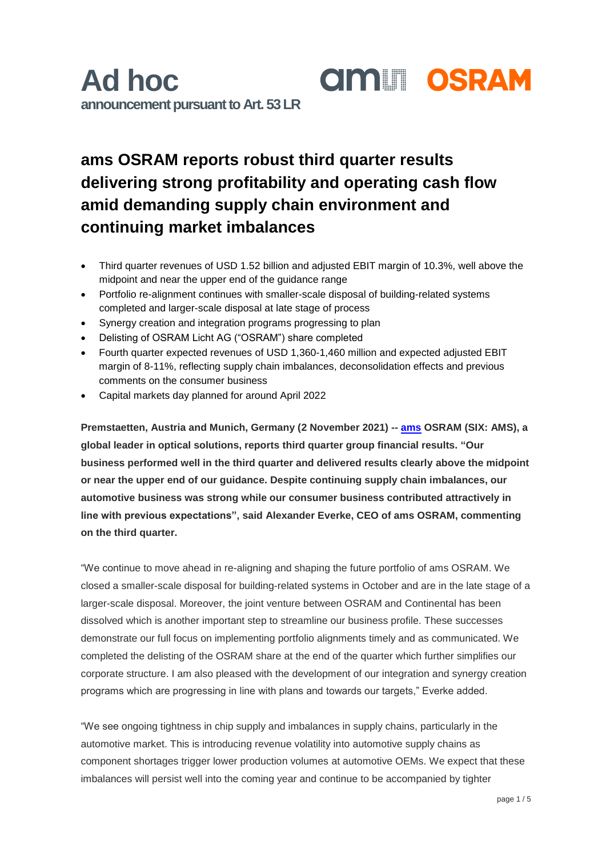### **ams OSRAM reports robust third quarter results delivering strong profitability and operating cash flow amid demanding supply chain environment and continuing market imbalances**

- Third quarter revenues of USD 1.52 billion and adjusted EBIT margin of 10.3%, well above the midpoint and near the upper end of the guidance range
- Portfolio re-alignment continues with smaller-scale disposal of building-related systems completed and larger-scale disposal at late stage of process
- Synergy creation and integration programs progressing to plan
- Delisting of OSRAM Licht AG ("OSRAM") share completed
- Fourth quarter expected revenues of USD 1,360-1,460 million and expected adjusted EBIT margin of 8-11%, reflecting supply chain imbalances, deconsolidation effects and previous comments on the consumer business
- Capital markets day planned for around April 2022

**Premstaetten, Austria and Munich, Germany (2 November 2021) -- [ams](https://ams.com/ams-start) OSRAM (SIX: AMS), a global leader in optical solutions, reports third quarter group financial results. "Our business performed well in the third quarter and delivered results clearly above the midpoint or near the upper end of our guidance. Despite continuing supply chain imbalances, our automotive business was strong while our consumer business contributed attractively in line with previous expectations", said Alexander Everke, CEO of ams OSRAM, commenting on the third quarter.** 

"We continue to move ahead in re-aligning and shaping the future portfolio of ams OSRAM. We closed a smaller-scale disposal for building-related systems in October and are in the late stage of a larger-scale disposal. Moreover, the joint venture between OSRAM and Continental has been dissolved which is another important step to streamline our business profile. These successes demonstrate our full focus on implementing portfolio alignments timely and as communicated. We completed the delisting of the OSRAM share at the end of the quarter which further simplifies our corporate structure. I am also pleased with the development of our integration and synergy creation programs which are progressing in line with plans and towards our targets," Everke added.

"We see ongoing tightness in chip supply and imbalances in supply chains, particularly in the automotive market. This is introducing revenue volatility into automotive supply chains as component shortages trigger lower production volumes at automotive OEMs. We expect that these imbalances will persist well into the coming year and continue to be accompanied by tighter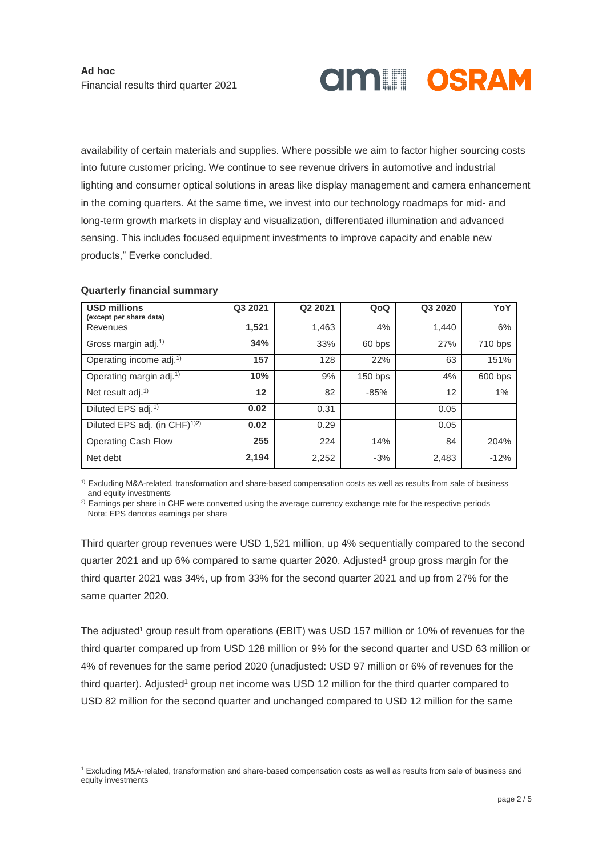# **AMILI OSRAM**

availability of certain materials and supplies. Where possible we aim to factor higher sourcing costs into future customer pricing. We continue to see revenue drivers in automotive and industrial lighting and consumer optical solutions in areas like display management and camera enhancement in the coming quarters. At the same time, we invest into our technology roadmaps for mid- and long-term growth markets in display and visualization, differentiated illumination and advanced sensing. This includes focused equipment investments to improve capacity and enable new products," Everke concluded.

| <b>USD millions</b>                       | Q3 2021 | Q2 2021 | QoQ       | Q3 2020 | YoY     |
|-------------------------------------------|---------|---------|-----------|---------|---------|
| (except per share data)<br>Revenues       | 1,521   | 1,463   | 4%        | 1.440   | 6%      |
|                                           |         |         |           |         |         |
| Gross margin adj. <sup>1)</sup>           | 34%     | 33%     | 60 bps    | 27%     | 710 bps |
| Operating income adj. <sup>1)</sup>       | 157     | 128     | 22%       | 63      | 151%    |
| Operating margin adj. <sup>1)</sup>       | 10%     | 9%      | $150$ bps | 4%      | 600 bps |
| Net result $adj.1$                        | 12      | 82      | $-85%$    | 12      | 1%      |
| Diluted EPS adj. <sup>1)</sup>            | 0.02    | 0.31    |           | 0.05    |         |
| Diluted EPS adj. (in CHF) <sup>1)2)</sup> | 0.02    | 0.29    |           | 0.05    |         |
| <b>Operating Cash Flow</b>                | 255     | 224     | 14%       | 84      | 204%    |
| Net debt                                  | 2,194   | 2,252   | $-3%$     | 2,483   | $-12%$  |

### **Quarterly financial summary**

 $\overline{a}$ 

1) Excluding M&A-related, transformation and share-based compensation costs as well as results from sale of business and equity investments

 $2)$  Earnings per share in CHF were converted using the average currency exchange rate for the respective periods Note: EPS denotes earnings per share

Third quarter group revenues were USD 1,521 million, up 4% sequentially compared to the second quarter 2021 and up 6% compared to same quarter 2020. Adjusted<sup>1</sup> group gross margin for the third quarter 2021 was 34%, up from 33% for the second quarter 2021 and up from 27% for the same quarter 2020.

The adjusted<sup>1</sup> group result from operations (EBIT) was USD 157 million or 10% of revenues for the third quarter compared up from USD 128 million or 9% for the second quarter and USD 63 million or 4% of revenues for the same period 2020 (unadjusted: USD 97 million or 6% of revenues for the third quarter). Adjusted<sup>1</sup> group net income was USD 12 million for the third quarter compared to USD 82 million for the second quarter and unchanged compared to USD 12 million for the same

<sup>1</sup> Excluding M&A-related, transformation and share-based compensation costs as well as results from sale of business and equity investments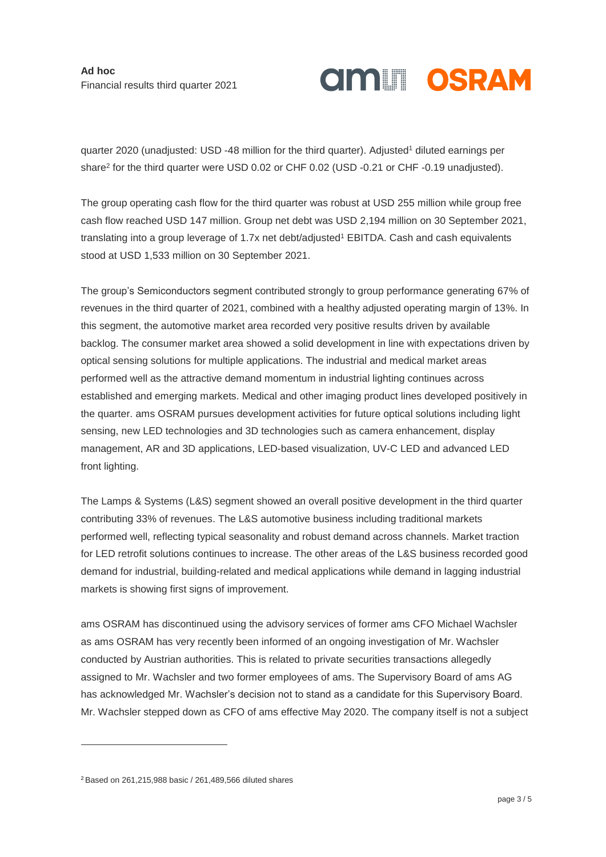**Ad hoc** Financial results third quarter 2021

## **AMILI OSRAM**

quarter 2020 (unadjusted: USD -48 million for the third quarter). Adjusted<sup>1</sup> diluted earnings per share<sup>2</sup> for the third quarter were USD 0.02 or CHF 0.02 (USD -0.21 or CHF -0.19 unadjusted).

The group operating cash flow for the third quarter was robust at USD 255 million while group free cash flow reached USD 147 million. Group net debt was USD 2,194 million on 30 September 2021, translating into a group leverage of 1.7x net debt/adjusted<sup>1</sup> EBITDA. Cash and cash equivalents stood at USD 1,533 million on 30 September 2021.

The group's Semiconductors segment contributed strongly to group performance generating 67% of revenues in the third quarter of 2021, combined with a healthy adjusted operating margin of 13%. In this segment, the automotive market area recorded very positive results driven by available backlog. The consumer market area showed a solid development in line with expectations driven by optical sensing solutions for multiple applications. The industrial and medical market areas performed well as the attractive demand momentum in industrial lighting continues across established and emerging markets. Medical and other imaging product lines developed positively in the quarter. ams OSRAM pursues development activities for future optical solutions including light sensing, new LED technologies and 3D technologies such as camera enhancement, display management, AR and 3D applications, LED-based visualization, UV-C LED and advanced LED front lighting.

The Lamps & Systems (L&S) segment showed an overall positive development in the third quarter contributing 33% of revenues. The L&S automotive business including traditional markets performed well, reflecting typical seasonality and robust demand across channels. Market traction for LED retrofit solutions continues to increase. The other areas of the L&S business recorded good demand for industrial, building-related and medical applications while demand in lagging industrial markets is showing first signs of improvement.

ams OSRAM has discontinued using the advisory services of former ams CFO Michael Wachsler as ams OSRAM has very recently been informed of an ongoing investigation of Mr. Wachsler conducted by Austrian authorities. This is related to private securities transactions allegedly assigned to Mr. Wachsler and two former employees of ams. The Supervisory Board of ams AG has acknowledged Mr. Wachsler's decision not to stand as a candidate for this Supervisory Board. Mr. Wachsler stepped down as CFO of ams effective May 2020. The company itself is not a subject

-

<sup>2</sup> Based on 261,215,988 basic / 261,489,566 diluted shares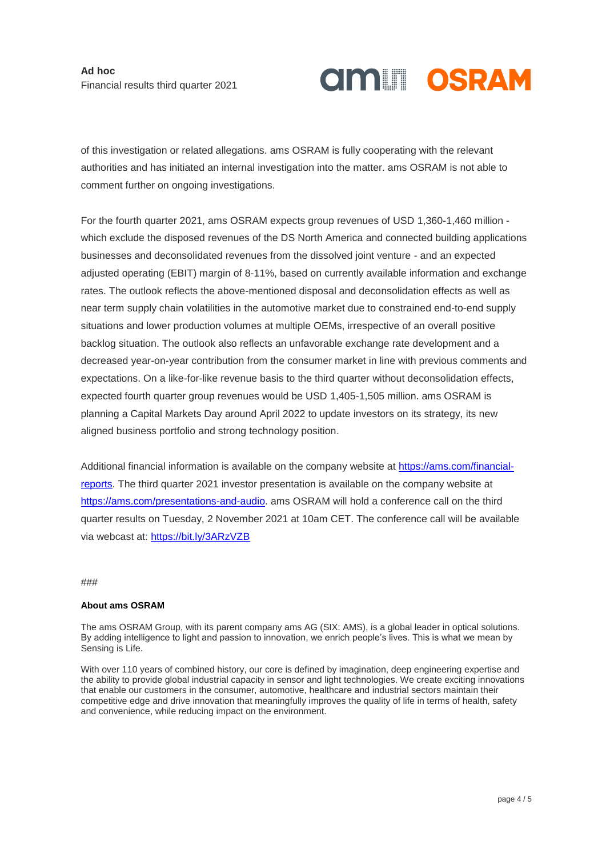# **AMILI OSRAM**

of this investigation or related allegations. ams OSRAM is fully cooperating with the relevant authorities and has initiated an internal investigation into the matter. ams OSRAM is not able to comment further on ongoing investigations.

For the fourth quarter 2021, ams OSRAM expects group revenues of USD 1,360-1,460 million which exclude the disposed revenues of the DS North America and connected building applications businesses and deconsolidated revenues from the dissolved joint venture - and an expected adjusted operating (EBIT) margin of 8-11%, based on currently available information and exchange rates. The outlook reflects the above-mentioned disposal and deconsolidation effects as well as near term supply chain volatilities in the automotive market due to constrained end-to-end supply situations and lower production volumes at multiple OEMs, irrespective of an overall positive backlog situation. The outlook also reflects an unfavorable exchange rate development and a decreased year-on-year contribution from the consumer market in line with previous comments and expectations. On a like-for-like revenue basis to the third quarter without deconsolidation effects, expected fourth quarter group revenues would be USD 1,405-1,505 million. ams OSRAM is planning a Capital Markets Day around April 2022 to update investors on its strategy, its new aligned business portfolio and strong technology position.

Additional financial information is available on the company website at [https://ams.com/financial](https://ams.com/financial-reports)[reports.](https://ams.com/financial-reports) The third quarter 2021 investor presentation is available on the company website at [https://ams.com/presentations-and-audio.](https://ams.com/presentations-and-audio) ams OSRAM will hold a conference call on the third quarter results on Tuesday, 2 November 2021 at 10am CET. The conference call will be available via webcast at: [https://bit.ly/3ARzVZB](https://eur02.safelinks.protection.outlook.com/?url=https%3A%2F%2Fbit.ly%2F3ARzVZB&data=04%7C01%7C%7C1c120a951e7045826f2808d992d127f6%7Cec1ca250c2344d56a76b7dfb9eee0c46%7C0%7C0%7C637702249289308867%7CUnknown%7CTWFpbGZsb3d8eyJWIjoiMC4wLjAwMDAiLCJQIjoiV2luMzIiLCJBTiI6Ik1haWwiLCJXVCI6Mn0%3D%7C1000&sdata=fvoyuONqyJbV0HU2UtYz2cvWxqhiapGYsYDD4%2FTsZVY%3D&reserved=0)

###

#### **About ams OSRAM**

The ams OSRAM Group, with its parent company ams AG (SIX: AMS), is a global leader in optical solutions. By adding intelligence to light and passion to innovation, we enrich people's lives. This is what we mean by Sensing is Life.

With over 110 years of combined history, our core is defined by imagination, deep engineering expertise and the ability to provide global industrial capacity in sensor and light technologies. We create exciting innovations that enable our customers in the consumer, automotive, healthcare and industrial sectors maintain their competitive edge and drive innovation that meaningfully improves the quality of life in terms of health, safety and convenience, while reducing impact on the environment.